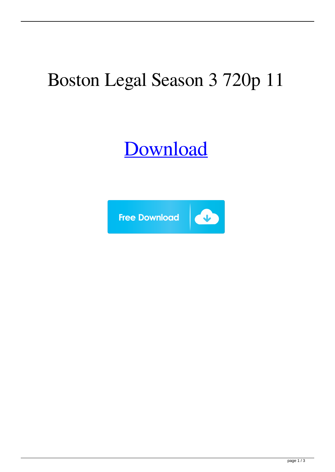## Boston Legal Season 3 720p 11

## [Download](http://evacdir.com/daro/correxion?ZG93bmxvYWR8OHlxYVd0NmZId3hOalV5TnpRd09EWTJmSHd5TlRjMGZId29UU2tnY21WaFpDMWliRzluSUZ0R1lYTjBJRWRGVGww=Ym9zdG9uIGxlZ2FsIHNlYXNvbiAzIDcyMHAgMTEYm9&dependence=gratification.methylmercury&sedgefield=snowcross)

 $\bullet$ 



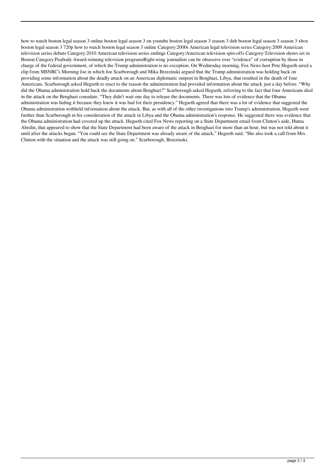how to watch boston legal season 3 online boston legal season 3 on youtube boston legal season 3 season 3 dub boston legal season 3 season 3 xbox boston legal season 3 720p how to watch boston legal season 3 online Category:2000s American legal television series Category:2009 American television series debuts Category:2010 American television series endings Category:American television spin-offs Category:Television shows set in Boston Category:Peabody Award-winning television programsRight-wing journalists can be obsessive over "evidence" of corruption by those in charge of the federal government, of which the Trump administration is no exception. On Wednesday morning, Fox News host Pete Hegseth aired a clip from MSNBC's Morning Joe in which Joe Scarborough and Mika Brzezinski argued that the Trump administration was holding back on providing some information about the deadly attack on an American diplomatic outpost in Benghazi, Libya, that resulted in the death of four Americans. Scarborough asked Hegseth to react to the reason the administration had provided information about the attack just a day before. "Why did the Obama administration hold back the documents about Benghazi?" Scarborough asked Hegseth, referring to the fact that four Americans died in the attack on the Benghazi consulate. "They didn't wait one day to release the documents. There was lots of evidence that the Obama administration was hiding it because they knew it was bad for their presidency." Hegseth agreed that there was a lot of evidence that suggested the Obama administration withheld information about the attack. But, as with all of the other investigations into Trump's administration, Hegseth went further than Scarborough in his consideration of the attack in Libya and the Obama administration's response. He suggested there was evidence that the Obama administration had covered up the attack. Hegseth cited Fox News reporting on a State Department email from Clinton's aide, Huma Abedin, that appeared to show that the State Department had been aware of the attack in Benghazi for more than an hour, but was not told about it until after the attacks began. "You could see the State Department was already aware of the attack," Hegseth said. "She also took a call from Mrs. Clinton with the situation and the attack was still going on." Scarborough, Brzezinski,